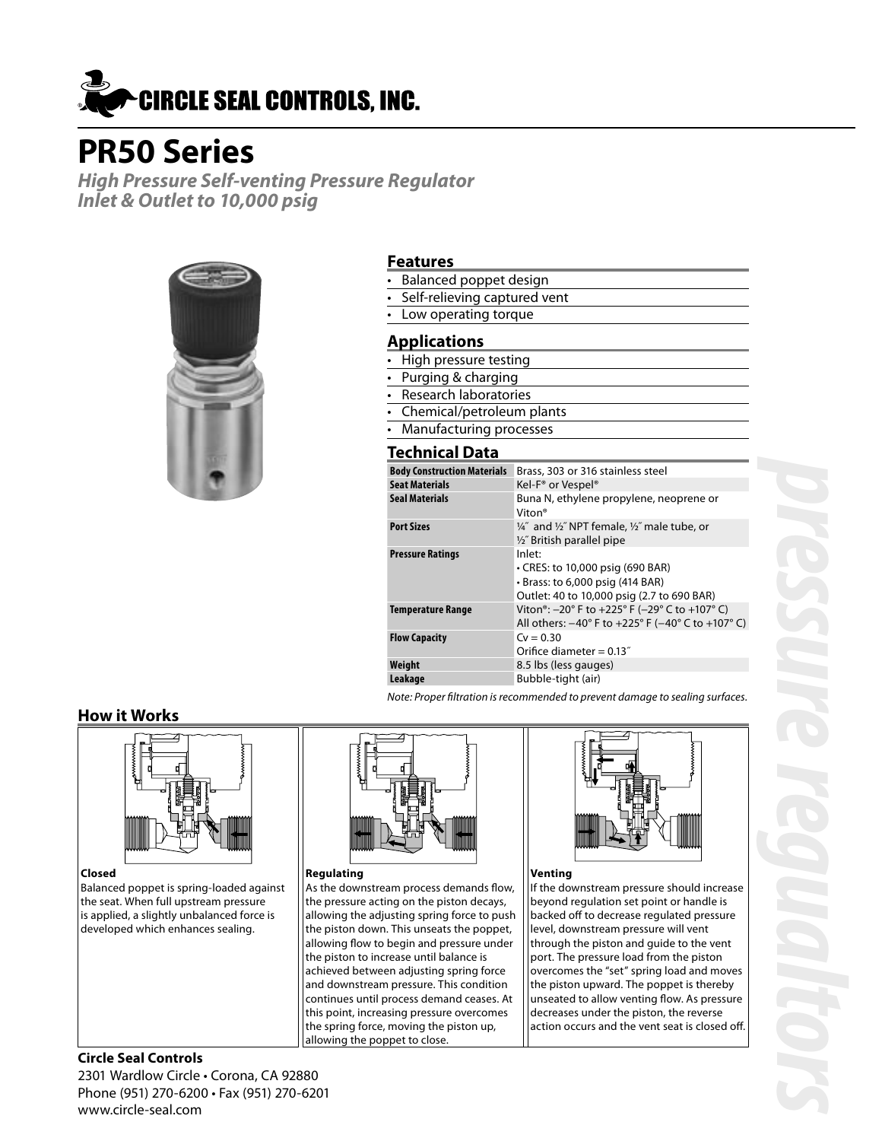

# **PR50 Series**

**High Pressure Self-venting Pressure Regulator Inlet & Outlet to 10,000 psig**



### **Features**

- Balanced poppet design
- Self-relieving captured vent
- Low operating torque

## **Applications**

- High pressure testing
- Purging & charging
- Research laboratories
- Chemical/petroleum plants
- Manufacturing processes

## **Technical Data**

| <b>Body Construction Materials</b> | Brass, 303 or 316 stainless steel                                                                                                                                                         |
|------------------------------------|-------------------------------------------------------------------------------------------------------------------------------------------------------------------------------------------|
| <b>Seat Materials</b>              | Kel-F <sup>®</sup> or Vespel <sup>®</sup>                                                                                                                                                 |
| <b>Seal Materials</b>              | Buna N, ethylene propylene, neoprene or<br>Viton <sup>®</sup>                                                                                                                             |
| <b>Port Sizes</b>                  | 1/4" and 1/2" NPT female, 1/2" male tube, or<br>1/2" British parallel pipe                                                                                                                |
| <b>Pressure Ratings</b>            | Inlet:<br>• CRES: to 10,000 psig (690 BAR)                                                                                                                                                |
|                                    | $\cdot$ Brass: to 6,000 psig (414 BAR)                                                                                                                                                    |
|                                    | Outlet: 40 to 10,000 psig (2.7 to 690 BAR)                                                                                                                                                |
| <b>Temperature Range</b>           | Viton <sup>®</sup> : $-20^{\circ}$ F to $+225^{\circ}$ F ( $-29^{\circ}$ C to $+107^{\circ}$ C)<br>All others: $-40^{\circ}$ F to $+225^{\circ}$ F ( $-40^{\circ}$ C to $+107^{\circ}$ C) |
| <b>Flow Capacity</b>               | $Cv = 0.30$<br>Orifice diameter = $0.13$ "                                                                                                                                                |
| Weight                             | 8.5 lbs (less gauges)                                                                                                                                                                     |
| Leakage                            | Bubble-tight (air)                                                                                                                                                                        |

Note: Proper filtration is recommended to prevent damage to sealing surfaces.

## **How it Works**



#### **Closed**

Balanced poppet is spring-loaded against the seat. When full upstream pressure is applied, a slightly unbalanced force is developed which enhances sealing.



#### **Regulating**

As the downstream process demands flow, the pressure acting on the piston decays, allowing the adjusting spring force to push the piston down. This unseats the poppet, allowing flow to begin and pressure under the piston to increase until balance is achieved between adjusting spring force and downstream pressure. This condition continues until process demand ceases. At this point, increasing pressure overcomes the spring force, moving the piston up, allowing the poppet to close.



#### **Venting**

If the downstream pressure should increase beyond regulation set point or handle is backed off to decrease regulated pressure level, downstream pressure will vent through the piston and guide to the vent port. The pressure load from the piston overcomes the "set" spring load and moves the piston upward. The poppet is thereby unseated to allow venting flow. As pressure decreases under the piston, the reverse action occurs and the vent seat is closed off.

## **Circle Seal Controls** 2301 Wardlow Circle • Corona, CA 92880 Phone (951) 270-6200 • Fax (951) 270-6201

www.circle-seal.com